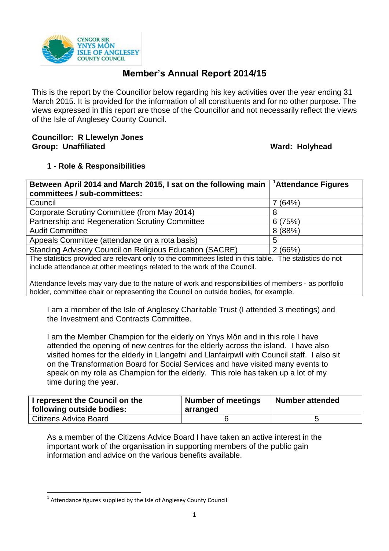

# **Member's Annual Report 2014/15**

This is the report by the Councillor below regarding his key activities over the year ending 31 March 2015. It is provided for the information of all constituents and for no other purpose. The views expressed in this report are those of the Councillor and not necessarily reflect the views of the Isle of Anglesey County Council.

#### **Councillor: R Llewelyn Jones Group: Unaffiliated Ward: Holyhead**

# **1 - Role & Responsibilities**

| Between April 2014 and March 2015, I sat on the following main                                          | <sup>1</sup> Attendance Figures |  |  |  |
|---------------------------------------------------------------------------------------------------------|---------------------------------|--|--|--|
| committees / sub-committees:                                                                            |                                 |  |  |  |
| Council                                                                                                 | 7 (64%)                         |  |  |  |
| Corporate Scrutiny Committee (from May 2014)                                                            | 8                               |  |  |  |
| Partnership and Regeneration Scrutiny Committee                                                         | 6(75%)                          |  |  |  |
| <b>Audit Committee</b>                                                                                  | 8(88%)                          |  |  |  |
| Appeals Committee (attendance on a rota basis)                                                          | 5                               |  |  |  |
| <b>Standing Advisory Council on Religious Education (SACRE)</b>                                         | 2(66%)                          |  |  |  |
| The statistics provided are relevant only to the committees listed in this table. The statistics do not |                                 |  |  |  |
| include attendance at other meetings related to the work of the Council.                                |                                 |  |  |  |
| Attandance levels may vary due to the nature of work and responsibilities of members - as portfolio     |                                 |  |  |  |

ance levels may vary due to the nature of work and responsibilities of members holder, committee chair or representing the Council on outside bodies, for example.

I am a member of the Isle of Anglesey Charitable Trust (I attended 3 meetings) and the Investment and Contracts Committee.

I am the Member Champion for the elderly on Ynys Môn and in this role I have attended the opening of new centres for the elderly across the island. I have also visited homes for the elderly in Llangefni and Llanfairpwll with Council staff. I also sit on the Transformation Board for Social Services and have visited many events to speak on my role as Champion for the elderly. This role has taken up a lot of my time during the year.

| I represent the Council on the<br><b>following outside bodies:</b> | <b>Number of meetings</b><br>arranged | <b>Number attended</b> |
|--------------------------------------------------------------------|---------------------------------------|------------------------|
| Citizens Advice Board                                              |                                       |                        |

As a member of the Citizens Advice Board I have taken an active interest in the important work of the organisation in supporting members of the public gain information and advice on the various benefits available.

**.** 

 $1$  Attendance figures supplied by the Isle of Anglesey County Council